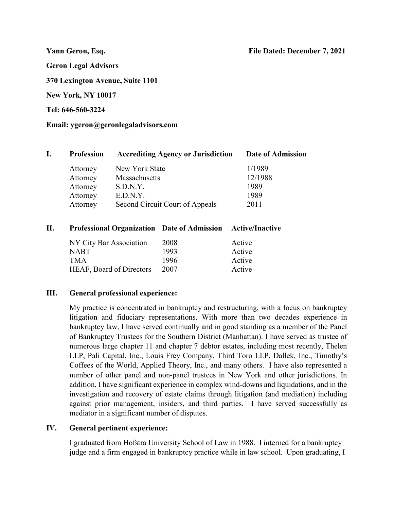Yann Geron, Esq. File Dated: **December 7**, 20**21**

Geron Legal Advisors

370 Lexington Avenue, Suite 1101

New York, NY 10017

Tel: 646-560-3224

Email: ygeron@geronlegaladvisors.com

| <b>Profession</b> | <b>Accrediting Agency or Jurisdiction</b> | Date of Admission |
|-------------------|-------------------------------------------|-------------------|
| Attorney          | New York State                            | 1/1989            |
| Attorney          | Massachusetts                             | 12/1988           |
| Attorney          | S.D.N.Y.                                  | 1989              |
| Attorney          | E.D.N.Y.                                  | 1989              |
| Attorney          | Second Circuit Court of Appeals           | 2011              |

# II. Professional Organization Date of Admission Active/Inactive

| NY City Bar Association         | 2008 | Active |
|---------------------------------|------|--------|
| <b>NABT</b>                     | 1993 | Active |
| <b>TMA</b>                      | 1996 | Active |
| <b>HEAF, Board of Directors</b> | 2007 | Active |

### III. General professional experience:

My practice is concentrated in bankruptcy and restructuring, with a focus on bankruptcy litigation and fiduciary representations. With more than two decades experience in bankruptcy law, I have served continually and in good standing as a member of the Panel of Bankruptcy Trustees for the Southern District (Manhattan). I have served as trustee of numerous large chapter 11 and chapter 7 debtor estates, including most recently, Thelen LLP, Pali Capital, Inc., Louis Frey Company, Third Toro LLP, Dallek, Inc., Timothy's Coffees of the World, Applied Theory, Inc., and many others. I have also represented a number of other panel and non-panel trustees in New York and other jurisdictions. In addition, I have significant experience in complex wind-downs and liquidations, and in the investigation and recovery of estate claims through litigation (and mediation) including against prior management, insiders, and third parties. I have served successfully as mediator in a significant number of disputes.

### IV. General pertinent experience:

I graduated from Hofstra University School of Law in 1988. I interned for a bankruptcy judge and a firm engaged in bankruptcy practice while in law school. Upon graduating, I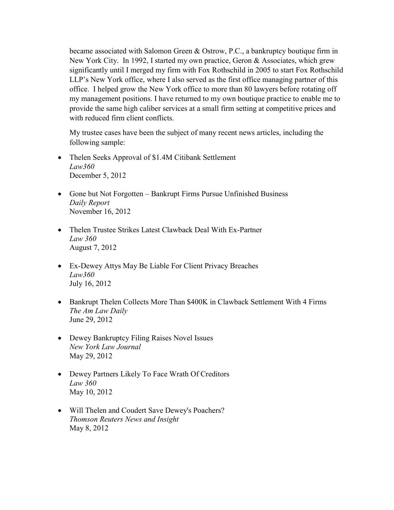became associated with Salomon Green & Ostrow, P.C., a bankruptcy boutique firm in New York City. In 1992, I started my own practice, Geron & Associates, which grew significantly until I merged my firm with Fox Rothschild in 2005 to start Fox Rothschild LLP's New York office, where I also served as the first office managing partner of this office. I helped grow the New York office to more than 80 lawyers before rotating off my management positions. I have returned to my own boutique practice to enable me to provide the same high caliber services at a small firm setting at competitive prices and with reduced firm client conflicts.

My trustee cases have been the subject of many recent news articles, including the following sample:

- Thelen Seeks Approval of \$1.4M Citibank Settlement Law360 December 5, 2012
- Gone but Not Forgotten Bankrupt Firms Pursue Unfinished Business Daily Report November 16, 2012
- Thelen Trustee Strikes Latest Clawback Deal With Ex-Partner Law 360 August 7, 2012
- Ex-Dewey Attys May Be Liable For Client Privacy Breaches Law360 July 16, 2012
- Bankrupt Thelen Collects More Than \$400K in Clawback Settlement With 4 Firms The Am Law Daily June 29, 2012
- Dewey Bankruptcy Filing Raises Novel Issues New York Law Journal May 29, 2012
- Dewey Partners Likely To Face Wrath Of Creditors Law 360 May 10, 2012
- Will Thelen and Coudert Save Dewey's Poachers? Thomson Reuters News and Insight May 8, 2012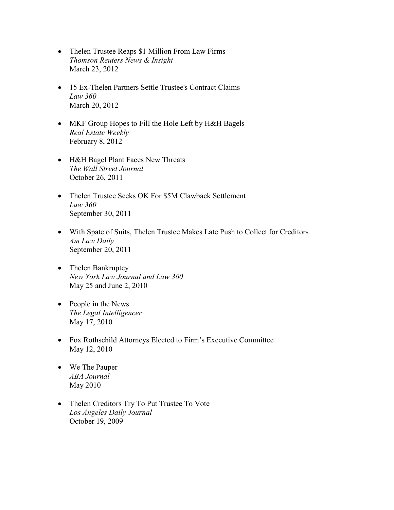- Thelen Trustee Reaps \$1 Million From Law Firms Thomson Reuters News & Insight March 23, 2012
- 15 Ex-Thelen Partners Settle Trustee's Contract Claims Law 360 March 20, 2012
- MKF Group Hopes to Fill the Hole Left by H&H Bagels Real Estate Weekly February 8, 2012
- H&H Bagel Plant Faces New Threats The Wall Street Journal October 26, 2011
- Thelen Trustee Seeks OK For \$5M Clawback Settlement Law 360 September 30, 2011
- With Spate of Suits, Thelen Trustee Makes Late Push to Collect for Creditors Am Law Daily September 20, 2011
- Thelen Bankruptcy New York Law Journal and Law 360 May 25 and June 2, 2010
- People in the News The Legal Intelligencer May 17, 2010
- Fox Rothschild Attorneys Elected to Firm's Executive Committee May 12, 2010
- We The Pauper ABA Journal May 2010
- Thelen Creditors Try To Put Trustee To Vote Los Angeles Daily Journal October 19, 2009